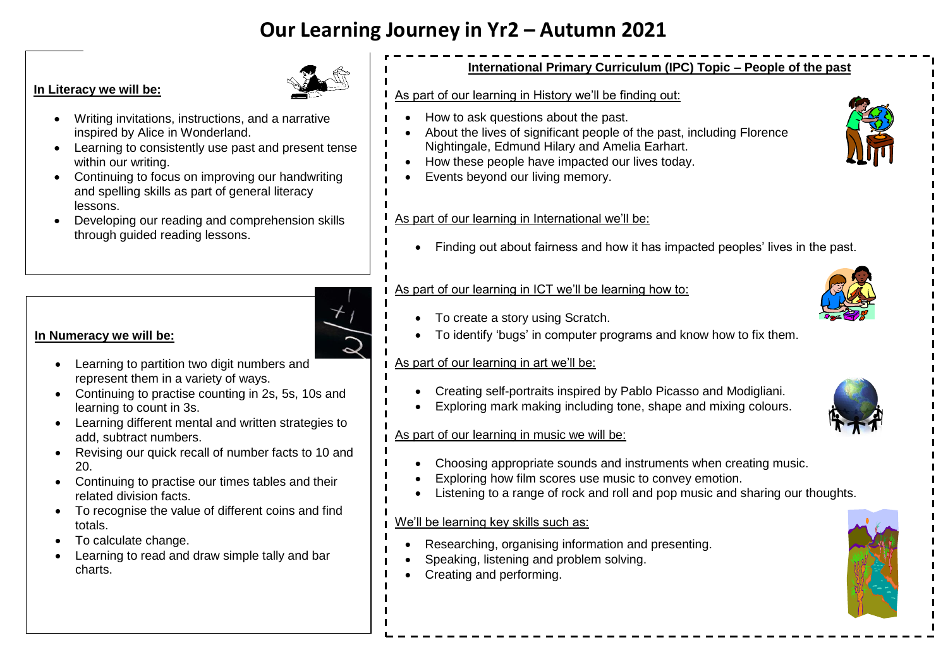# **Our Learning Journey in Yr2 – Autumn 2021**

#### **In Literacy we will be:**



- Writing invitations, instructions, and a narrative inspired by Alice in Wonderland.
- Learning to consistently use past and present tense within our writing.
- Continuing to focus on improving our handwriting and spelling skills as part of general literacy lessons.
- Developing our reading and comprehension skills through guided reading lessons.



- **In Numeracy we will be:** 
	- Learning to partition two digit numbers and represent them in a variety of ways.
	- Continuing to practise counting in 2s, 5s, 10s and learning to count in 3s.
	- Learning different mental and written strategies to add, subtract numbers.
	- Revising our quick recall of number facts to 10 and 20.
	- Continuing to practise our times tables and their related division facts.
	- To recognise the value of different coins and find totals.
	- To calculate change.
	- Learning to read and draw simple tally and bar charts.

# **International Primary Curriculum (IPC) Topic – People of the past**

#### As part of our learning in History we'll be finding out:

- How to ask questions about the past.
- About the lives of significant people of the past, including Florence Nightingale, Edmund Hilary and Amelia Earhart.
- How these people have impacted our lives today.
- Events beyond our living memory.

#### As part of our learning in International we'll be:

Finding out about fairness and how it has impacted peoples' lives in the past.

# As part of our learning in ICT we'll be learning how to:

- To create a story using Scratch.
- To identify 'bugs' in computer programs and know how to fix them.

## As part of our learning in art we'll be:

- Creating self-portraits inspired by Pablo Picasso and Modigliani.
- Exploring mark making including tone, shape and mixing colours.



- Choosing appropriate sounds and instruments when creating music.
- Exploring how film scores use music to convey emotion.
- Listening to a range of rock and roll and pop music and sharing our thoughts.

#### We'll be learning key skills such as:

- Researching, organising information and presenting.
- Speaking, listening and problem solving.
- Creating and performing.